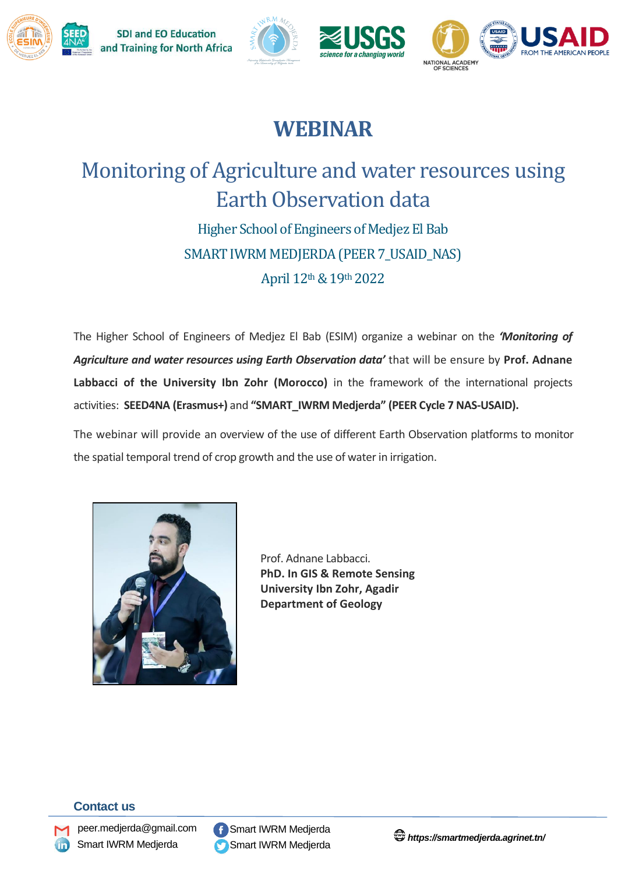







# **WEBINAR**

# Monitoring of Agriculture and water resources using Earth Observation data

Higher School of Engineers of Medjez El Bab SMART IWRM MEDJERDA (PEER 7\_USAID\_NAS) April 12th& 19th 2022

The Higher School of Engineers of Medjez El Bab (ESIM) organize a webinar on the *'Monitoring of Agriculture and water resources using Earth Observation data'* that will be ensure by **Prof. Adnane Labbacci of the University Ibn Zohr (Morocco)** in the framework of the international projects activities: **SEED4NA (Erasmus+)** and **"SMART\_IWRM Medjerda" (PEER Cycle 7 NAS-USAID).**

The webinar will provide an overview of the use of different Earth Observation platforms to monitor the spatial temporal trend of crop growth and the use of water in irrigation.



Prof. Adnane Labbacci. **PhD. In GIS & Remote Sensing University Ibn Zohr, Agadir Department of Geology**

### **Contact us**



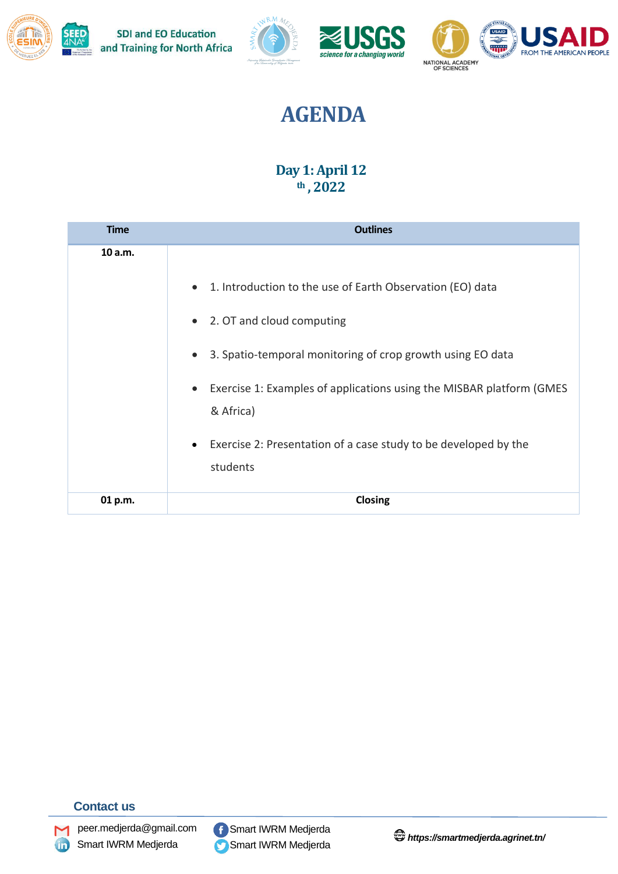





# **AGENDA**

### **Day 1: April 12 th , 2022**

| <b>Time</b> | <b>Outlines</b>                                                                                                                                                                                                                                                                                                                                                                |
|-------------|--------------------------------------------------------------------------------------------------------------------------------------------------------------------------------------------------------------------------------------------------------------------------------------------------------------------------------------------------------------------------------|
| 10 a.m.     | 1. Introduction to the use of Earth Observation (EO) data<br>$\bullet$<br>• 2. OT and cloud computing<br>3. Spatio-temporal monitoring of crop growth using EO data<br>$\bullet$<br>Exercise 1: Examples of applications using the MISBAR platform (GMES<br>$\bullet$<br>& Africa)<br>Exercise 2: Presentation of a case study to be developed by the<br>$\bullet$<br>students |
| 01 p.m.     | <b>Closing</b>                                                                                                                                                                                                                                                                                                                                                                 |

### **Contact us**